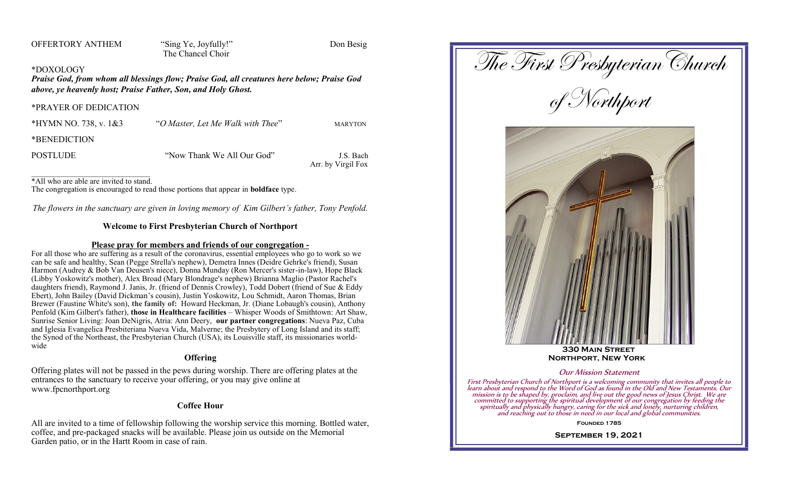OFFERTORY ANTHEM "Sing Ye, Joyfully!" Don Besig

The Chancel Choir

## \*DOXOLOGY

*Praise God, from whom all blessings flow; Praise God, all creatures here below; Praise God above, ye heavenly host; Praise Father, Son, and Holy Ghost.*

#### \*PRAYER OF DEDICATION

| *HYMN NO. 738, v. $1&3$ | "O Master, Let Me Walk with Thee" | <b>MARYTON</b>                  |
|-------------------------|-----------------------------------|---------------------------------|
| *BENEDICTION            |                                   |                                 |
| <b>POSTLUDE</b>         | "Now Thank We All Our God"        | J.S. Bach<br>Arr. by Virgil Fox |

\*All who are able are invited to stand.

The congregation is encouraged to read those portions that appear in **boldface** type.

*The flowers in the sanctuary are given in loving memory of Kim Gilbert's father, Tony Penfold.*

# **Welcome to First Presbyterian Church of Northport**

## **Please pray for members and friends of our congregation -**

For all those who are suffering as a result of the coronavirus, essential employees who go to work so we can be safe and healthy, Sean (Pegge Strella's nephew), Demetra Innes (Deidre Gehrke's friend), Susan Harmon (Audrey & Bob Van Deusen's niece), Donna Munday (Ron Mercer's sister-in-law), Hope Black (Libby Yoskowitz's mother), Alex Broad (Mary Blondrage's nephew) Brianna Maglio (Pastor Rachel's daughters friend), Raymond J. Janis, Jr. (friend of Dennis Crowley), Todd Dobert (friend of Sue & Eddy Ebert), John Bailey (David Dickman's cousin), Justin Yoskowitz, Lou Schmidt, Aaron Thomas, Brian Brewer (Faustine White's son), **the family of:** Howard Heckman, Jr. (Diane Lobaugh's cousin), Anthony Penfold (Kim Gilbert's father), **those in Healthcare facilities** – Whisper Woods of Smithtown: Art Shaw, Sunrise Senior Living: Joan DeNigris, Atria: Ann Deery, **our partner congregations**: Nueva Paz, Cuba and Iglesia Evangelica Presbiteriana Nueva Vida, Malverne; the Presbytery of Long Island and its staff; the Synod of the Northeast, the Presbyterian Church (USA), its Louisville staff, its missionaries worldwide

# **Offering**

Offering plates will not be passed in the pews during worship. There are offering plates at the entrances to the sanctuary to receive your offering, or you may give online at www.fpcnorthport.org

## **Coffee Hour**

All are invited to a time of fellowship following the worship service this morning. Bottled water, coffee, and pre-packaged snacks will be available. Please join us outside on the Memorial Garden patio, or in the Hartt Room in case of rain.